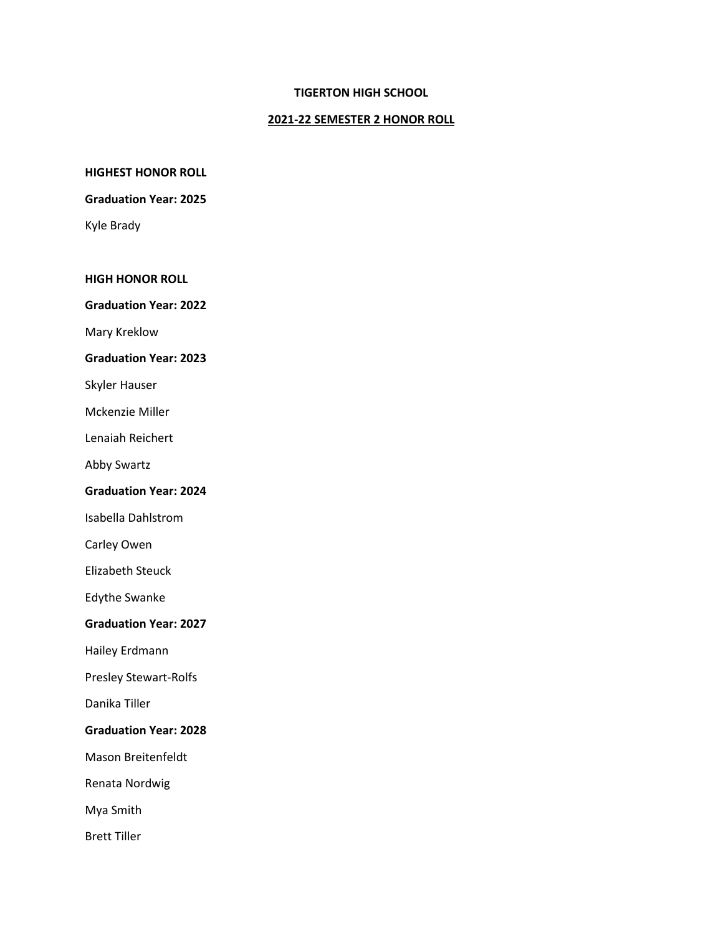# **TIGERTON HIGH SCHOOL**

# **2021-22 SEMESTER 2 HONOR ROLL**

**HIGHEST HONOR ROLL**

#### **Graduation Year: 2025**

Kyle Brady

#### **HIGH HONOR ROLL**

**Graduation Year: 2022**

Mary Kreklow

### **Graduation Year: 2023**

Skyler Hauser

Mckenzie Miller

Lenaiah Reichert

Abby Swartz

#### **Graduation Year: 2024**

Isabella Dahlstrom

Carley Owen

Elizabeth Steuck

Edythe Swanke

#### **Graduation Year: 2027**

Hailey Erdmann

Presley Stewart-Rolfs

Danika Tiller

### **Graduation Year: 2028**

Mason Breitenfeldt

Renata Nordwig

Mya Smith

Brett Tiller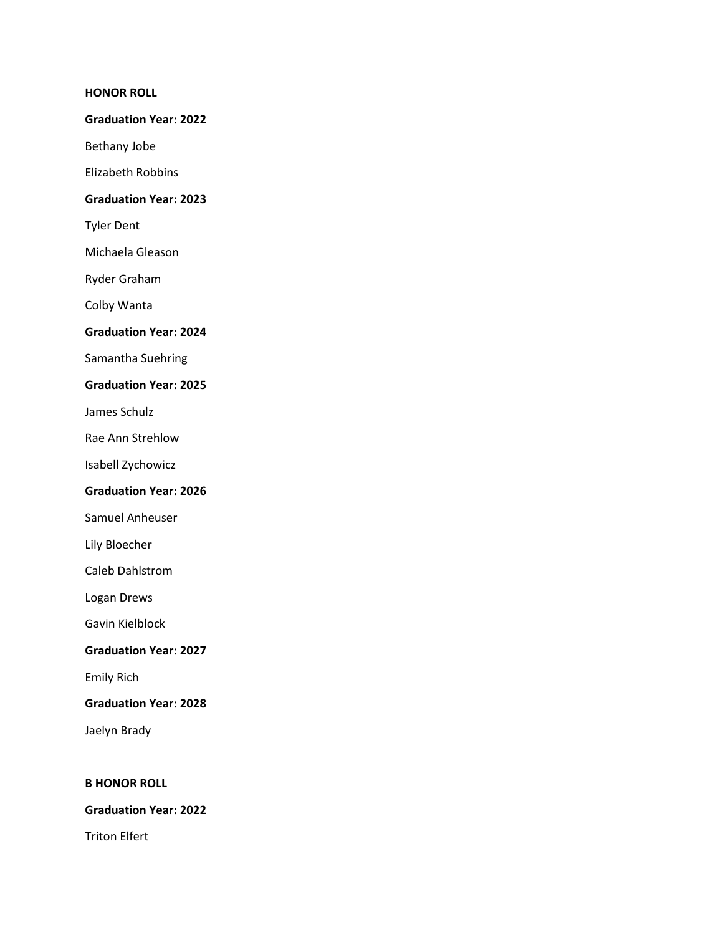### **HONOR ROLL**

#### **Graduation Year: 2022**

Bethany Jobe

Elizabeth Robbins

# **Graduation Year: 2023**

Tyler Dent

Michaela Gleason

Ryder Graham

Colby Wanta

# **Graduation Year: 2024**

Samantha Suehring

# **Graduation Year: 2025**

James Schulz

Rae Ann Strehlow

Isabell Zychowicz

### **Graduation Year: 2026**

Samuel Anheuser

Lily Bloecher

Caleb Dahlstrom

Logan Drews

Gavin Kielblock

# **Graduation Year: 2027**

Emily Rich

**Graduation Year: 2028**

Jaelyn Brady

# **B HONOR ROLL**

# **Graduation Year: 2022**

Triton Elfert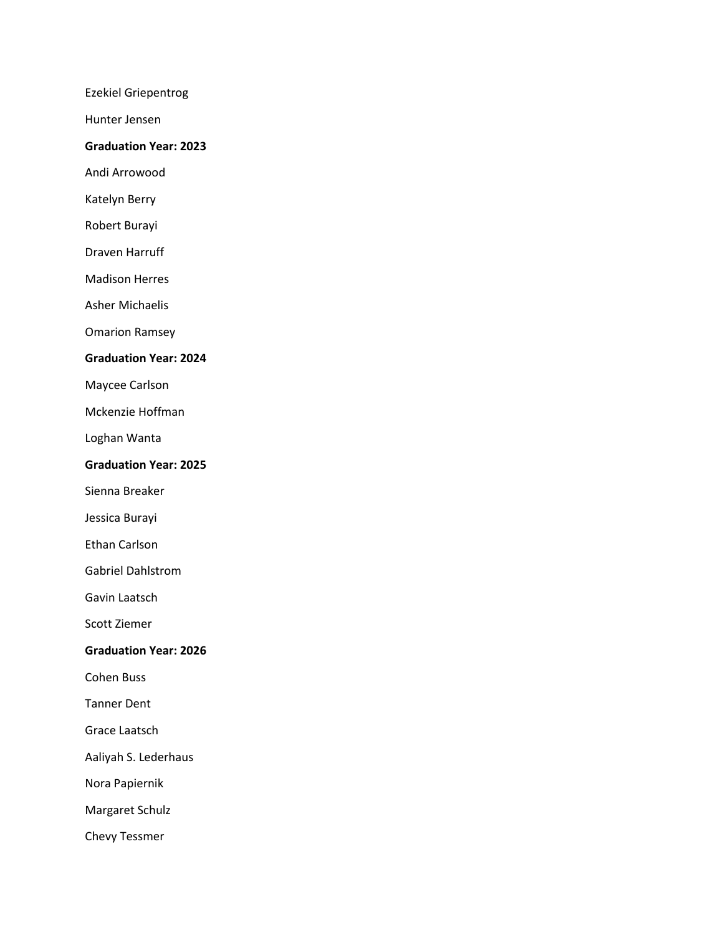Ezekiel Griepentrog

Hunter Jensen

### **Graduation Year: 2023**

Andi Arrowood

Katelyn Berry

Robert Burayi

Draven Harruff

Madison Herres

Asher Michaelis

Omarion Ramsey

#### **Graduation Year: 2024**

Maycee Carlson

Mckenzie Hoffman

Loghan Wanta

### **Graduation Year: 2025**

Sienna Breaker

Jessica Burayi

Ethan Carlson

Gabriel Dahlstrom

Gavin Laatsch

Scott Ziemer

# **Graduation Year: 2026**

Cohen Buss

Tanner Dent

Grace Laatsch

Aaliyah S. Lederhaus

Nora Papiernik

Margaret Schulz

Chevy Tessmer